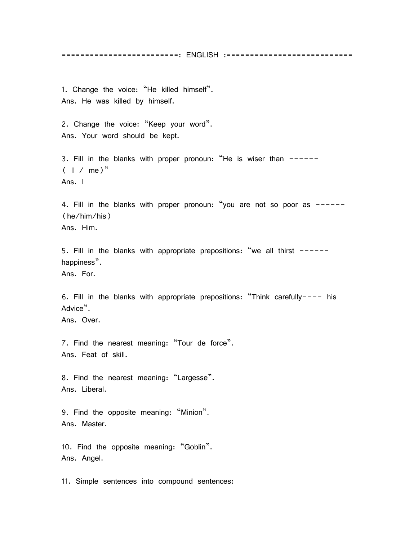=========================: ENGLISH :===========================

1. Change the voice: 'He killed himself'. Ans. He was killed by himself.

2. Change the voice: "Keep your word". Ans. Your word should be kept.

3. Fill in the blanks with proper pronoun: "He is wiser than ------ $($  | / me)<sup>"</sup> Ans. I

4. Fill in the blanks with proper pronoun: 'you are not so poor as ------ (he/him/his) Ans. Him.

5. Fill in the blanks with appropriate prepositions: "we all thirst  $--$ happiness".

Ans. For.

6. Fill in the blanks with appropriate prepositions: 'Think carefully---- his Advice".

Ans. Over.

7. Find the nearest meaning: "Tour de force". Ans. Feat of skill.

8. Find the nearest meaning: "Largesse". Ans. Liberal.

9. Find the opposite meaning: "Minion". Ans. Master.

10. Find the opposite meaning: 'Goblin'. Ans. Angel.

11. Simple sentences into compound sentences: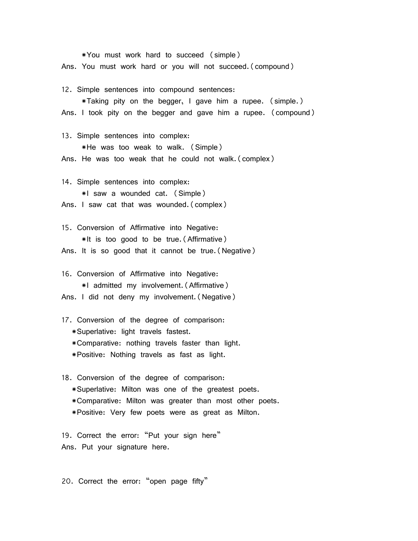\*You must work hard to succeed (simple) Ans. You must work hard or you will not succeed.(compound)

12. Simple sentences into compound sentences:

 \*Taking pity on the begger, I gave him a rupee. (simple.) Ans. I took pity on the begger and gave him a rupee. (compound)

13. Simple sentences into complex:

 \*He was too weak to walk. (Simple) Ans. He was too weak that he could not walk.(complex)

14. Simple sentences into complex: \*I saw a wounded cat. (Simple) Ans. I saw cat that was wounded.(complex)

15. Conversion of Affirmative into Negative: \*It is too good to be true.(Affirmative) Ans. It is so good that it cannot be true.(Negative)

16. Conversion of Affirmative into Negative: \*I admitted my involvement.(Affirmative) Ans. I did not deny my involvement.(Negative)

17. Conversion of the degree of comparison:

- \*Superlative: light travels fastest.
- \*Comparative: nothing travels faster than light.
- \*Positive: Nothing travels as fast as light.

18. Conversion of the degree of comparison:

- \*Superlative: Milton was one of the greatest poets.
- \*Comparative: Milton was greater than most other poets.
- \*Positive: Very few poets were as great as Milton.

19. Correct the error: "Put your sign here" Ans. Put your signature here.

20. Correct the error: "open page fifty"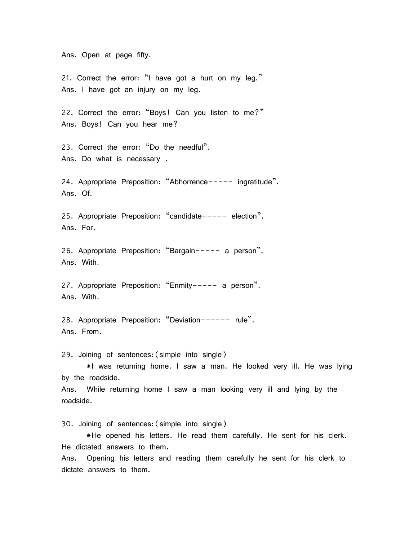Ans. Open at page fifty.

21. Correct the error: "I have got a hurt on my leg." Ans. I have got an injury on my leg.

22. Correct the error: "Boys! Can you listen to me?" Ans. Boys! Can you hear me?

23. Correct the error: "Do the needful". Ans. Do what is necessary .

24. Appropriate Preposition: "Abhorrence----- ingratitude". Ans. Of.

25. Appropriate Preposition: 'candidate----- election'. Ans. For.

26. Appropriate Preposition: 'Bargain----- a person'. Ans. With.

27. Appropriate Preposition: 'Enmity----- a person'. Ans. With.

28. Appropriate Preposition: 'Deviation------ rule'. Ans. From.

29. Joining of sentences:(simple into single)

 \*I was returning home. I saw a man. He looked very ill. He was lying by the roadside.

Ans. While returning home I saw a man looking very ill and lying by the roadside.

30. Joining of sentences:(simple into single)

 \*He opened his letters. He read them carefully. He sent for his clerk. He dictated answers to them.

Ans. Opening his letters and reading them carefully he sent for his clerk to dictate answers to them.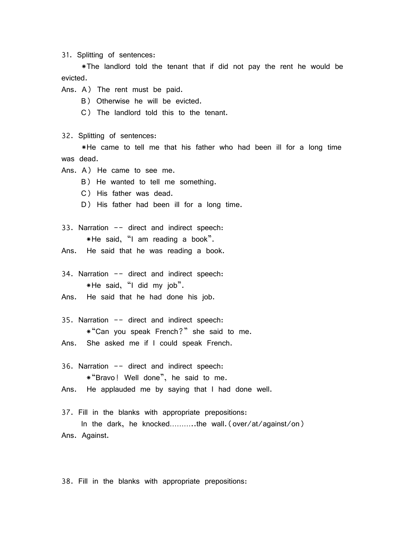31. Splitting of sentences:

 \*The landlord told the tenant that if did not pay the rent he would be evicted.

- Ans. A) The rent must be paid.
	- B) Otherwise he will be evicted.
	- C) The landlord told this to the tenant.

32. Splitting of sentences:

 \*He came to tell me that his father who had been ill for a long time was dead.

- Ans. A) He came to see me.
	- B) He wanted to tell me something.
	- C) His father was dead.
	- D) His father had been ill for a long time.
- 33. Narration -- direct and indirect speech: \*He said, 'I am reading a book'.
- Ans. He said that he was reading a book.

34. Narration -- direct and indirect speech: \*He said, 'I did my job'.

- Ans. He said that he had done his job.
- 35. Narration -- direct and indirect speech: \*'Can you speak French?' she said to me.
- Ans. She asked me if I could speak French.

36. Narration -- direct and indirect speech: \*'Bravo! Well done', he said to me. Ans. He applauded me by saying that I had done well.

37. Fill in the blanks with appropriate prepositions: In the dark, he knocked………..the wall.(over/at/against/on) Ans. Against.

38. Fill in the blanks with appropriate prepositions: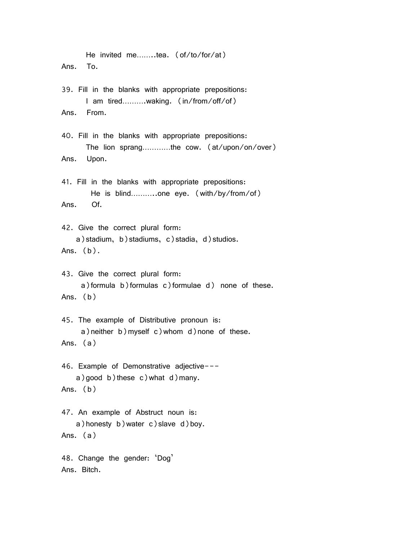He invited me……..tea. (of/to/for/at) Ans. To. 39. Fill in the blanks with appropriate prepositions: I am tired……….waking. (in/from/off/of) Ans. From. 40. Fill in the blanks with appropriate prepositions: The lion sprang…………the cow. (at/upon/on/over) Ans. Upon. 41. Fill in the blanks with appropriate prepositions: He is blind………..one eye. (with/by/from/of) Ans. Of. 42. Give the correct plural form: a) stadium, b) stadiums, c) stadia, d) studios. Ans.  $(b)$ . 43. Give the correct plural form: a)formula b)formulas c)formulae d) none of these. Ans. (b) 45. The example of Distributive pronoun is: a)neither b)myself c)whom d)none of these. Ans. (a) 46. Example of Demonstrative adjective-- a) good b) these c) what d) many. Ans. (b) 47. An example of Abstruct noun is: a)honesty b)water c)slave d)boy. Ans. (a) 48. Change the gender: 'Dog' Ans. Bitch.